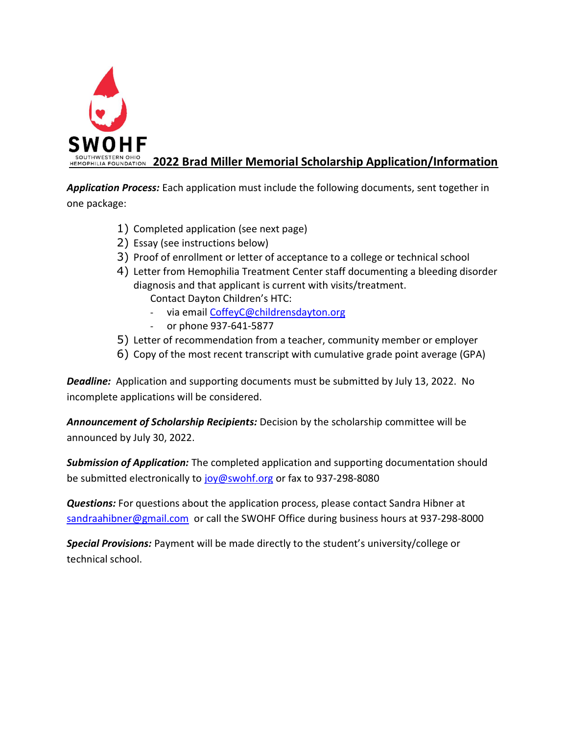

## **ESOUTHWESTERN OHIO** 2022 Brad Miller Memorial Scholarship Application/Information

Application Process: Each application must include the following documents, sent together in one package:

- 1) Completed application (see next page)
- 2) Essay (see instructions below)
- 3) Proof of enrollment or letter of acceptance to a college or technical school
- 4) Letter from Hemophilia Treatment Center staff documenting a bleeding disorder diagnosis and that applicant is current with visits/treatment. Contact Dayton Children's HTC:
	- via email CoffeyC@childrensdayton.org
	- or phone 937-641-5877
- 5) Letter of recommendation from a teacher, community member or employer
- 6) Copy of the most recent transcript with cumulative grade point average (GPA)

**Deadline:** Application and supporting documents must be submitted by July 13, 2022. No incomplete applications will be considered.

Announcement of Scholarship Recipients: Decision by the scholarship committee will be announced by July 30, 2022.

**Submission of Application:** The completed application and supporting documentation should be submitted electronically to joy@swohf.org or fax to 937-298-8080

**Questions:** For questions about the application process, please contact Sandra Hibner at sandraahibner@gmail.com or call the SWOHF Office during business hours at 937-298-8000

Special Provisions: Payment will be made directly to the student's university/college or technical school.